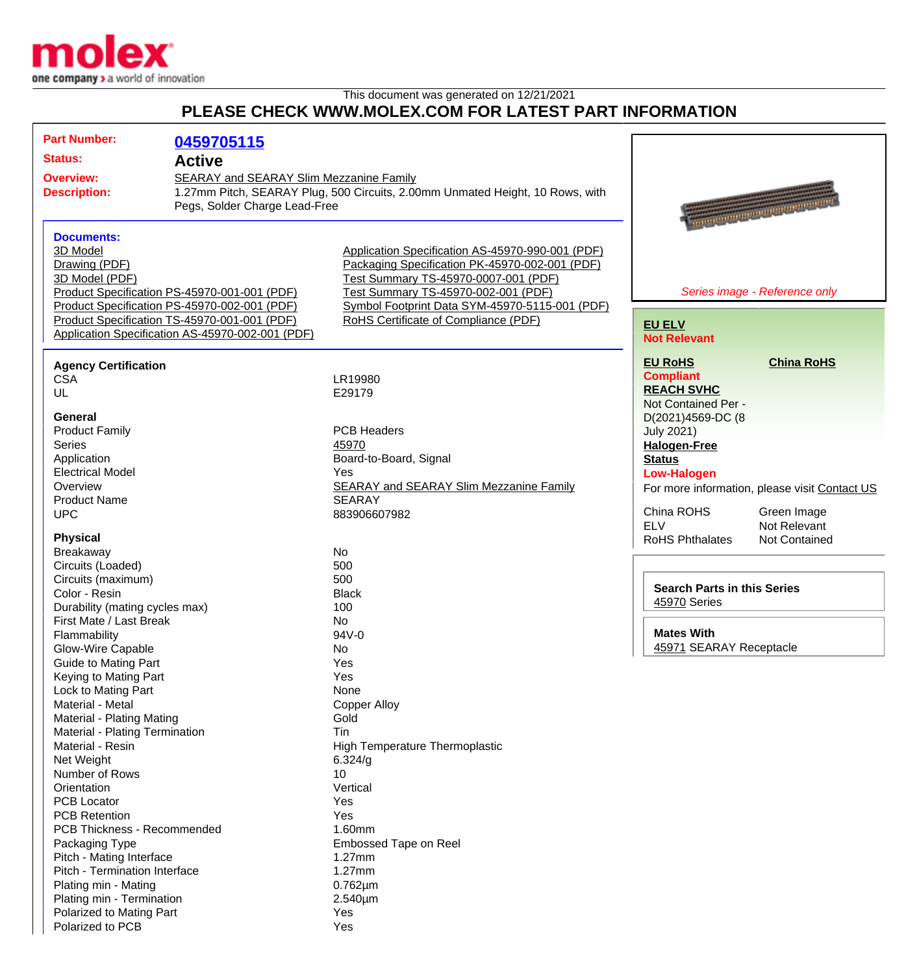

This document was generated on 12/21/2021

## **PLEASE CHECK WWW.MOLEX.COM FOR LATEST PART INFORMATION**

| <b>Part Number:</b>            |                                                  |                                                                               |                                    |                                                      |
|--------------------------------|--------------------------------------------------|-------------------------------------------------------------------------------|------------------------------------|------------------------------------------------------|
|                                | 0459705115                                       |                                                                               |                                    |                                                      |
| <b>Status:</b>                 | <b>Active</b>                                    |                                                                               |                                    |                                                      |
| <b>Overview:</b>               | <b>SEARAY and SEARAY Slim Mezzanine Family</b>   |                                                                               |                                    |                                                      |
| <b>Description:</b>            |                                                  | 1.27mm Pitch, SEARAY Plug, 500 Circuits, 2.00mm Unmated Height, 10 Rows, with |                                    |                                                      |
|                                | Pegs, Solder Charge Lead-Free                    |                                                                               |                                    |                                                      |
|                                |                                                  |                                                                               |                                    | <b><i><u>All Communication Communication</u></i></b> |
| <b>Documents:</b>              |                                                  |                                                                               |                                    |                                                      |
| 3D Model                       |                                                  | Application Specification AS-45970-990-001 (PDF)                              |                                    |                                                      |
| Drawing (PDF)                  |                                                  | Packaging Specification PK-45970-002-001 (PDF)                                |                                    |                                                      |
| 3D Model (PDF)                 |                                                  | Test Summary TS-45970-0007-001 (PDF)                                          |                                    |                                                      |
|                                | Product Specification PS-45970-001-001 (PDF)     | Test Summary TS-45970-002-001 (PDF)                                           |                                    | Series image - Reference only                        |
|                                | Product Specification PS-45970-002-001 (PDF)     | Symbol Footprint Data SYM-45970-5115-001 (PDF)                                |                                    |                                                      |
|                                | Product Specification TS-45970-001-001 (PDF)     | RoHS Certificate of Compliance (PDF)                                          |                                    |                                                      |
|                                | Application Specification AS-45970-002-001 (PDF) |                                                                               | <b>EU ELV</b>                      |                                                      |
|                                |                                                  |                                                                               | <b>Not Relevant</b>                |                                                      |
| <b>Agency Certification</b>    |                                                  |                                                                               | <b>EU RoHS</b>                     | <b>China RoHS</b>                                    |
| <b>CSA</b>                     |                                                  | LR19980                                                                       | <b>Compliant</b>                   |                                                      |
| UL                             |                                                  | E29179                                                                        | <b>REACH SVHC</b>                  |                                                      |
|                                |                                                  |                                                                               | Not Contained Per -                |                                                      |
| <b>General</b>                 |                                                  |                                                                               | D(2021)4569-DC (8                  |                                                      |
| <b>Product Family</b>          |                                                  | <b>PCB Headers</b>                                                            | <b>July 2021)</b>                  |                                                      |
| <b>Series</b>                  |                                                  | 45970                                                                         | <b>Halogen-Free</b>                |                                                      |
| Application                    |                                                  | Board-to-Board, Signal                                                        | <b>Status</b>                      |                                                      |
| <b>Electrical Model</b>        |                                                  | Yes                                                                           | <b>Low-Halogen</b>                 |                                                      |
| Overview                       |                                                  | <b>SEARAY and SEARAY Slim Mezzanine Family</b>                                |                                    | For more information, please visit Contact US        |
| <b>Product Name</b>            |                                                  | <b>SEARAY</b>                                                                 |                                    |                                                      |
| <b>UPC</b>                     |                                                  | 883906607982                                                                  | China ROHS                         | Green Image                                          |
|                                |                                                  |                                                                               | <b>ELV</b>                         | Not Relevant                                         |
| <b>Physical</b>                |                                                  |                                                                               | <b>RoHS Phthalates</b>             | <b>Not Contained</b>                                 |
| Breakaway                      |                                                  | No                                                                            |                                    |                                                      |
| Circuits (Loaded)              |                                                  | 500                                                                           |                                    |                                                      |
| Circuits (maximum)             |                                                  | 500                                                                           |                                    |                                                      |
| Color - Resin                  |                                                  | <b>Black</b>                                                                  | <b>Search Parts in this Series</b> |                                                      |
| Durability (mating cycles max) |                                                  | 100                                                                           | 45970 Series                       |                                                      |
| First Mate / Last Break        |                                                  | No                                                                            |                                    |                                                      |
| Flammability                   |                                                  | 94V-0                                                                         | <b>Mates With</b>                  |                                                      |
| Glow-Wire Capable              |                                                  | No                                                                            | 45971 SEARAY Receptacle            |                                                      |
| Guide to Mating Part           |                                                  | Yes                                                                           |                                    |                                                      |
| Keying to Mating Part          |                                                  | Yes                                                                           |                                    |                                                      |
| Lock to Mating Part            |                                                  | None                                                                          |                                    |                                                      |
| Material - Metal               |                                                  | <b>Copper Alloy</b>                                                           |                                    |                                                      |
| Material - Plating Mating      |                                                  | Gold                                                                          |                                    |                                                      |
| Material - Plating Termination |                                                  | Tin                                                                           |                                    |                                                      |
| Material - Resin               |                                                  | <b>High Temperature Thermoplastic</b>                                         |                                    |                                                      |
| Net Weight                     |                                                  | 6.324/g                                                                       |                                    |                                                      |
| Number of Rows                 |                                                  | 10                                                                            |                                    |                                                      |
| Orientation                    |                                                  | Vertical                                                                      |                                    |                                                      |
| <b>PCB Locator</b>             |                                                  | Yes                                                                           |                                    |                                                      |
| <b>PCB Retention</b>           |                                                  | Yes                                                                           |                                    |                                                      |
| PCB Thickness - Recommended    |                                                  | 1.60mm                                                                        |                                    |                                                      |
| Packaging Type                 |                                                  | Embossed Tape on Reel                                                         |                                    |                                                      |
| Pitch - Mating Interface       |                                                  | $1.27$ mm                                                                     |                                    |                                                      |
| Pitch - Termination Interface  |                                                  | $1.27$ mm                                                                     |                                    |                                                      |
| Plating min - Mating           |                                                  | $0.762 \mu m$                                                                 |                                    |                                                      |
| Plating min - Termination      |                                                  | $2.540 \mu m$                                                                 |                                    |                                                      |
| Polarized to Mating Part       |                                                  | Yes                                                                           |                                    |                                                      |
| Polarized to PCB               |                                                  | Yes                                                                           |                                    |                                                      |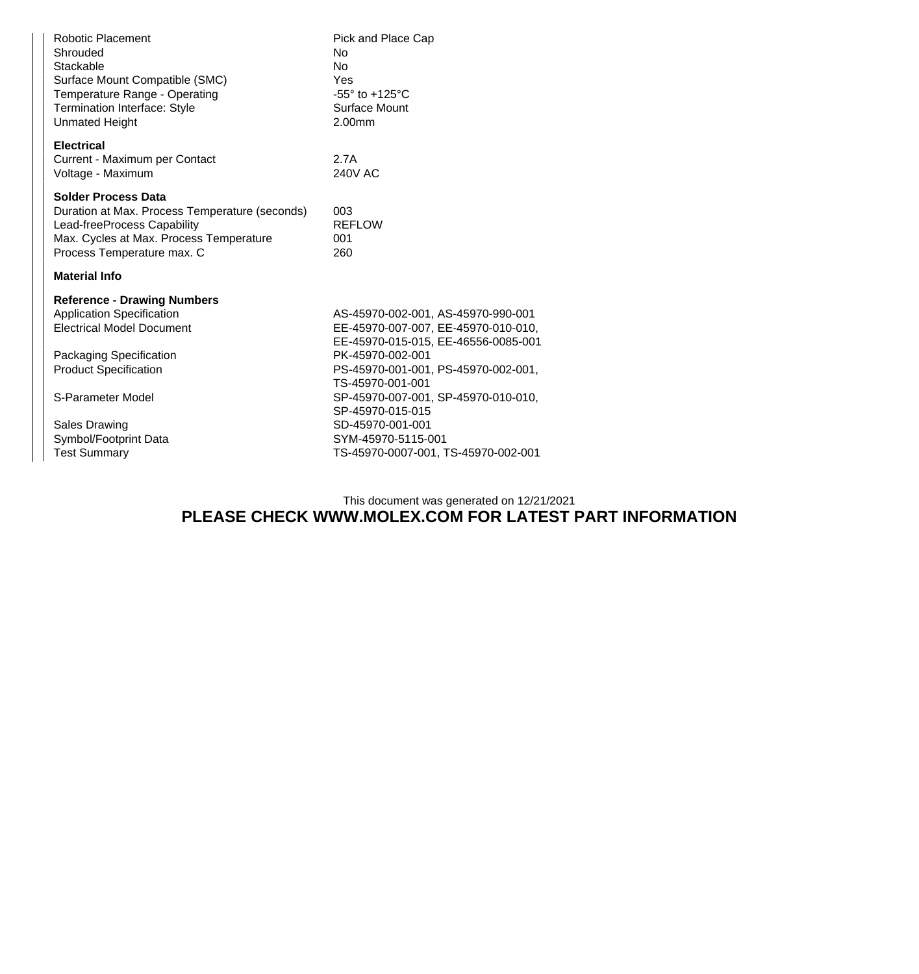| Shrouded<br>No<br>Stackable<br><b>No</b><br>Surface Mount Compatible (SMC)<br>Yes<br>Temperature Range - Operating<br><b>Termination Interface: Style</b><br><b>Unmated Height</b><br>2.00mm                                                | $-55^\circ$ to $+125^\circ$ C<br>Surface Mount                                                                                                                                                                                                                                                       |
|---------------------------------------------------------------------------------------------------------------------------------------------------------------------------------------------------------------------------------------------|------------------------------------------------------------------------------------------------------------------------------------------------------------------------------------------------------------------------------------------------------------------------------------------------------|
| <b>Electrical</b><br>Current - Maximum per Contact<br>2.7A<br>Voltage - Maximum                                                                                                                                                             | <b>240V AC</b>                                                                                                                                                                                                                                                                                       |
| <b>Solder Process Data</b><br>Duration at Max. Process Temperature (seconds)<br>003<br>Lead-freeProcess Capability<br>Max. Cycles at Max. Process Temperature<br>001<br>Process Temperature max. C<br>260                                   | <b>REFLOW</b>                                                                                                                                                                                                                                                                                        |
| <b>Material Info</b>                                                                                                                                                                                                                        |                                                                                                                                                                                                                                                                                                      |
| <b>Reference - Drawing Numbers</b><br><b>Application Specification</b><br><b>Electrical Model Document</b><br>Packaging Specification<br><b>Product Specification</b><br>S-Parameter Model<br><b>Sales Drawing</b><br>Symbol/Footprint Data | AS-45970-002-001, AS-45970-990-001<br>EE-45970-007-007, EE-45970-010-010,<br>EE-45970-015-015, EE-46556-0085-001<br>PK-45970-002-001<br>PS-45970-001-001, PS-45970-002-001,<br>TS-45970-001-001<br>SP-45970-007-001, SP-45970-010-010,<br>SP-45970-015-015<br>SD-45970-001-001<br>SYM-45970-5115-001 |
| <b>Test Summary</b>                                                                                                                                                                                                                         | TS-45970-0007-001, TS-45970-002-001                                                                                                                                                                                                                                                                  |

## This document was generated on 12/21/2021 **PLEASE CHECK WWW.MOLEX.COM FOR LATEST PART INFORMATION**